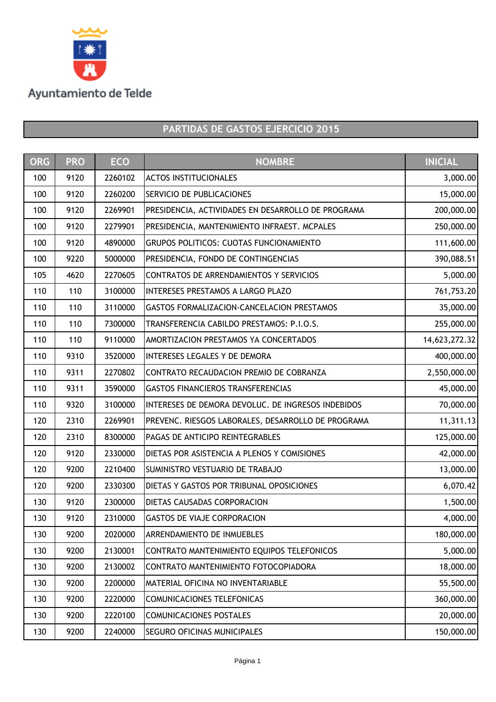

| <b>ORG</b> | <b>PRO</b> | <b>ECO</b> | <b>NOMBRE</b>                                      | <b>INICIAL</b> |
|------------|------------|------------|----------------------------------------------------|----------------|
| 100        | 9120       | 2260102    | <b>ACTOS INSTITUCIONALES</b>                       | 3,000.00       |
| 100        | 9120       | 2260200    | <b>SERVICIO DE PUBLICACIONES</b>                   | 15,000.00      |
| 100        | 9120       | 2269901    | PRESIDENCIA, ACTIVIDADES EN DESARROLLO DE PROGRAMA | 200,000.00     |
| 100        | 9120       | 2279901    | PRESIDENCIA, MANTENIMIENTO INFRAEST. MCPALES       | 250,000.00     |
| 100        | 9120       | 4890000    | <b>GRUPOS POLITICOS: CUOTAS FUNCIONAMIENTO</b>     | 111,600.00     |
| 100        | 9220       | 5000000    | PRESIDENCIA, FONDO DE CONTINGENCIAS                | 390,088.51     |
| 105        | 4620       | 2270605    | CONTRATOS DE ARRENDAMIENTOS Y SERVICIOS            | 5,000.00       |
| 110        | 110        | 3100000    | INTERESES PRESTAMOS A LARGO PLAZO                  | 761,753.20     |
| 110        | 110        | 3110000    | GASTOS FORMALIZACION-CANCELACION PRESTAMOS         | 35,000.00      |
| 110        | 110        | 7300000    | TRANSFERENCIA CABILDO PRESTAMOS: P.I.O.S.          | 255,000.00     |
| 110        | 110        | 9110000    | AMORTIZACION PRESTAMOS YA CONCERTADOS              | 14,623,272.32  |
| 110        | 9310       | 3520000    | <b>INTERESES LEGALES Y DE DEMORA</b>               | 400,000.00     |
| 110        | 9311       | 2270802    | CONTRATO RECAUDACION PREMIO DE COBRANZA            | 2,550,000.00   |
| 110        | 9311       | 3590000    | <b>GASTOS FINANCIEROS TRANSFERENCIAS</b>           | 45,000.00      |
| 110        | 9320       | 3100000    | INTERESES DE DEMORA DEVOLUC. DE INGRESOS INDEBIDOS | 70,000.00      |
| 120        | 2310       | 2269901    | PREVENC. RIESGOS LABORALES, DESARROLLO DE PROGRAMA | 11,311.13      |
| 120        | 2310       | 8300000    | PAGAS DE ANTICIPO REINTEGRABLES                    | 125,000.00     |
| 120        | 9120       | 2330000    | DIETAS POR ASISTENCIA A PLENOS Y COMISIONES        | 42,000.00      |
| 120        | 9200       | 2210400    | SUMINISTRO VESTUARIO DE TRABAJO                    | 13,000.00      |
| 120        | 9200       | 2330300    | DIETAS Y GASTOS POR TRIBUNAL OPOSICIONES           | 6,070.42       |
| 130        | 9120       | 2300000    | <b>DIETAS CAUSADAS CORPORACION</b>                 | 1,500.00       |
| 130        | 9120       | 2310000    | <b>GASTOS DE VIAJE CORPORACION</b>                 | 4,000.00       |
| 130        | 9200       | 2020000    | <b>ARRENDAMIENTO DE INMUEBLES</b>                  | 180,000.00     |
| 130        | 9200       | 2130001    | CONTRATO MANTENIMIENTO EQUIPOS TELEFONICOS         | 5,000.00       |
| 130        | 9200       | 2130002    | CONTRATO MANTENIMIENTO FOTOCOPIADORA               | 18,000.00      |
| 130        | 9200       | 2200000    | <b>MATERIAL OFICINA NO INVENTARIABLE</b>           | 55,500.00      |
| 130        | 9200       | 2220000    | COMUNICACIONES TELEFONICAS                         | 360,000.00     |
| 130        | 9200       | 2220100    | <b>COMUNICACIONES POSTALES</b>                     | 20,000.00      |
| 130        | 9200       | 2240000    | <b>SEGURO OFICINAS MUNICIPALES</b>                 | 150,000.00     |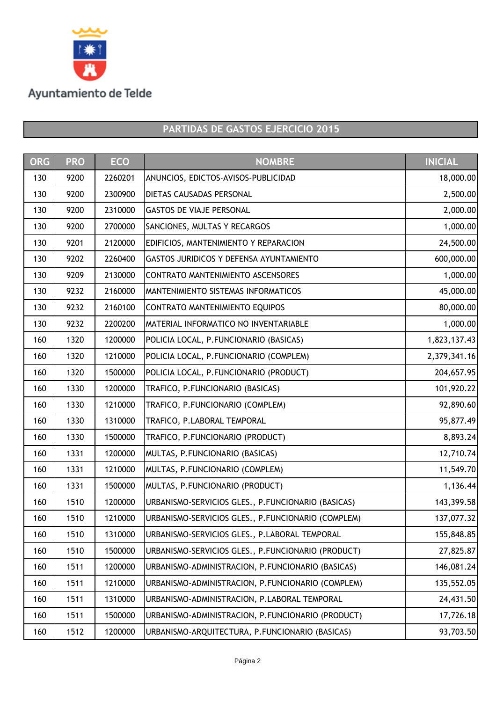

| <b>ORG</b> | <b>PRO</b> | <b>ECO</b> | <b>NOMBRE</b>                                      | <b>INICIAL</b> |
|------------|------------|------------|----------------------------------------------------|----------------|
| 130        | 9200       | 2260201    | ANUNCIOS, EDICTOS-AVISOS-PUBLICIDAD                | 18,000.00      |
| 130        | 9200       | 2300900    | <b>DIETAS CAUSADAS PERSONAL</b>                    | 2,500.00       |
| 130        | 9200       | 2310000    | <b>GASTOS DE VIAJE PERSONAL</b>                    | 2,000.00       |
| 130        | 9200       | 2700000    | SANCIONES, MULTAS Y RECARGOS                       | 1,000.00       |
| 130        | 9201       | 2120000    | EDIFICIOS, MANTENIMIENTO Y REPARACION              | 24,500.00      |
| 130        | 9202       | 2260400    | <b>GASTOS JURIDICOS Y DEFENSA AYUNTAMIENTO</b>     | 600,000.00     |
| 130        | 9209       | 2130000    | CONTRATO MANTENIMIENTO ASCENSORES                  | 1,000.00       |
| 130        | 9232       | 2160000    | <b>MANTENIMIENTO SISTEMAS INFORMATICOS</b>         | 45,000.00      |
| 130        | 9232       | 2160100    | CONTRATO MANTENIMIENTO EQUIPOS                     | 80,000.00      |
| 130        | 9232       | 2200200    | <b>MATERIAL INFORMATICO NO INVENTARIABLE</b>       | 1,000.00       |
| 160        | 1320       | 1200000    | POLICIA LOCAL, P.FUNCIONARIO (BASICAS)             | 1,823,137.43   |
| 160        | 1320       | 1210000    | POLICIA LOCAL, P.FUNCIONARIO (COMPLEM)             | 2,379,341.16   |
| 160        | 1320       | 1500000    | POLICIA LOCAL, P.FUNCIONARIO (PRODUCT)             | 204,657.95     |
| 160        | 1330       | 1200000    | TRAFICO, P.FUNCIONARIO (BASICAS)                   | 101,920.22     |
| 160        | 1330       | 1210000    | TRAFICO, P.FUNCIONARIO (COMPLEM)                   | 92,890.60      |
| 160        | 1330       | 1310000    | TRAFICO, P.LABORAL TEMPORAL                        | 95,877.49      |
| 160        | 1330       | 1500000    | TRAFICO, P.FUNCIONARIO (PRODUCT)                   | 8,893.24       |
| 160        | 1331       | 1200000    | MULTAS, P.FUNCIONARIO (BASICAS)                    | 12,710.74      |
| 160        | 1331       | 1210000    | MULTAS, P.FUNCIONARIO (COMPLEM)                    | 11,549.70      |
| 160        | 1331       | 1500000    | MULTAS, P.FUNCIONARIO (PRODUCT)                    | 1,136.44       |
| 160        | 1510       | 1200000    | URBANISMO-SERVICIOS GLES., P.FUNCIONARIO (BASICAS) | 143,399.58     |
| 160        | 1510       | 1210000    | URBANISMO-SERVICIOS GLES., P.FUNCIONARIO (COMPLEM) | 137,077.32     |
| 160        | 1510       | 1310000    | URBANISMO-SERVICIOS GLES., P.LABORAL TEMPORAL      | 155,848.85     |
| 160        | 1510       | 1500000    | URBANISMO-SERVICIOS GLES., P.FUNCIONARIO (PRODUCT) | 27,825.87      |
| 160        | 1511       | 1200000    | URBANISMO-ADMINISTRACION, P.FUNCIONARIO (BASICAS)  | 146,081.24     |
| 160        | 1511       | 1210000    | URBANISMO-ADMINISTRACION, P.FUNCIONARIO (COMPLEM)  | 135,552.05     |
| 160        | 1511       | 1310000    | URBANISMO-ADMINISTRACION, P.LABORAL TEMPORAL       | 24,431.50      |
| 160        | 1511       | 1500000    | URBANISMO-ADMINISTRACION, P.FUNCIONARIO (PRODUCT)  | 17,726.18      |
| 160        | 1512       | 1200000    | URBANISMO-ARQUITECTURA, P.FUNCIONARIO (BASICAS)    | 93,703.50      |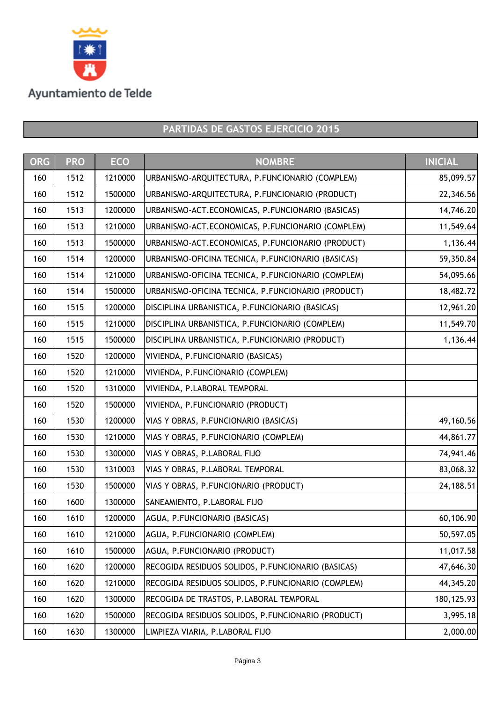

| <b>ORG</b> | <b>PRO</b> | <b>ECO</b> | <b>NOMBRE</b>                                      | <b>INICIAL</b> |
|------------|------------|------------|----------------------------------------------------|----------------|
| 160        | 1512       | 1210000    | URBANISMO-ARQUITECTURA, P.FUNCIONARIO (COMPLEM)    | 85,099.57      |
| 160        | 1512       | 1500000    | URBANISMO-ARQUITECTURA, P.FUNCIONARIO (PRODUCT)    | 22,346.56      |
| 160        | 1513       | 1200000    | URBANISMO-ACT.ECONOMICAS, P.FUNCIONARIO (BASICAS)  | 14,746.20      |
| 160        | 1513       | 1210000    | URBANISMO-ACT.ECONOMICAS, P.FUNCIONARIO (COMPLEM)  | 11,549.64      |
| 160        | 1513       | 1500000    | URBANISMO-ACT.ECONOMICAS, P.FUNCIONARIO (PRODUCT)  | 1,136.44       |
| 160        | 1514       | 1200000    | URBANISMO-OFICINA TECNICA, P.FUNCIONARIO (BASICAS) | 59,350.84      |
| 160        | 1514       | 1210000    | URBANISMO-OFICINA TECNICA, P.FUNCIONARIO (COMPLEM) | 54,095.66      |
| 160        | 1514       | 1500000    | URBANISMO-OFICINA TECNICA, P.FUNCIONARIO (PRODUCT) | 18,482.72      |
| 160        | 1515       | 1200000    | DISCIPLINA URBANISTICA, P.FUNCIONARIO (BASICAS)    | 12,961.20      |
| 160        | 1515       | 1210000    | DISCIPLINA URBANISTICA, P.FUNCIONARIO (COMPLEM)    | 11,549.70      |
| 160        | 1515       | 1500000    | DISCIPLINA URBANISTICA, P.FUNCIONARIO (PRODUCT)    | 1,136.44       |
| 160        | 1520       | 1200000    | VIVIENDA, P.FUNCIONARIO (BASICAS)                  |                |
| 160        | 1520       | 1210000    | VIVIENDA, P.FUNCIONARIO (COMPLEM)                  |                |
| 160        | 1520       | 1310000    | VIVIENDA, P.LABORAL TEMPORAL                       |                |
| 160        | 1520       | 1500000    | VIVIENDA, P.FUNCIONARIO (PRODUCT)                  |                |
| 160        | 1530       | 1200000    | VIAS Y OBRAS, P.FUNCIONARIO (BASICAS)              | 49,160.56      |
| 160        | 1530       | 1210000    | VIAS Y OBRAS, P.FUNCIONARIO (COMPLEM)              | 44,861.77      |
| 160        | 1530       | 1300000    | VIAS Y OBRAS, P.LABORAL FIJO                       | 74,941.46      |
| 160        | 1530       | 1310003    | VIAS Y OBRAS, P.LABORAL TEMPORAL                   | 83,068.32      |
| 160        | 1530       | 1500000    | VIAS Y OBRAS, P.FUNCIONARIO (PRODUCT)              | 24,188.51      |
| 160        | 1600       | 1300000    | SANEAMIENTO, P.LABORAL FIJO                        |                |
| 160        | 1610       | 1200000    | AGUA, P.FUNCIONARIO (BASICAS)                      | 60,106.90      |
| 160        | 1610       | 1210000    | AGUA, P.FUNCIONARIO (COMPLEM)                      | 50,597.05      |
| 160        | 1610       | 1500000    | AGUA, P.FUNCIONARIO (PRODUCT)                      | 11,017.58      |
| 160        | 1620       | 1200000    | RECOGIDA RESIDUOS SOLIDOS, P.FUNCIONARIO (BASICAS) | 47,646.30      |
| 160        | 1620       | 1210000    | RECOGIDA RESIDUOS SOLIDOS, P.FUNCIONARIO (COMPLEM) | 44,345.20      |
| 160        | 1620       | 1300000    | RECOGIDA DE TRASTOS, P.LABORAL TEMPORAL            | 180, 125.93    |
| 160        | 1620       | 1500000    | RECOGIDA RESIDUOS SOLIDOS, P.FUNCIONARIO (PRODUCT) | 3,995.18       |
| 160        | 1630       | 1300000    | LIMPIEZA VIARIA, P.LABORAL FIJO                    | 2,000.00       |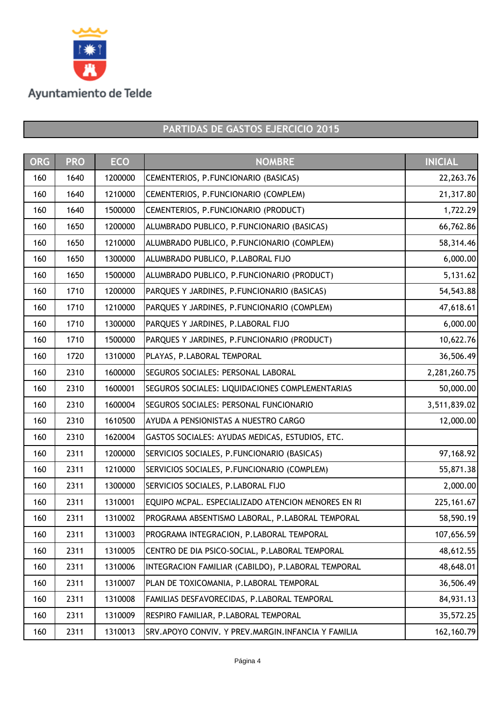

| <b>ORG</b> | <b>PRO</b> | <b>ECO</b> | <b>NOMBRE</b>                                         | <b>INICIAL</b> |
|------------|------------|------------|-------------------------------------------------------|----------------|
| 160        | 1640       | 1200000    | CEMENTERIOS, P.FUNCIONARIO (BASICAS)                  | 22, 263. 76    |
| 160        | 1640       | 1210000    | CEMENTERIOS, P.FUNCIONARIO (COMPLEM)                  | 21,317.80      |
| 160        | 1640       | 1500000    | CEMENTERIOS, P.FUNCIONARIO (PRODUCT)                  | 1,722.29       |
| 160        | 1650       | 1200000    | ALUMBRADO PUBLICO, P.FUNCIONARIO (BASICAS)            | 66,762.86      |
| 160        | 1650       | 1210000    | ALUMBRADO PUBLICO, P.FUNCIONARIO (COMPLEM)            | 58,314.46      |
| 160        | 1650       | 1300000    | ALUMBRADO PUBLICO, P.LABORAL FIJO                     | 6,000.00       |
| 160        | 1650       | 1500000    | ALUMBRADO PUBLICO, P.FUNCIONARIO (PRODUCT)            | 5,131.62       |
| 160        | 1710       | 1200000    | PARQUES Y JARDINES, P.FUNCIONARIO (BASICAS)           | 54,543.88      |
| 160        | 1710       | 1210000    | PARQUES Y JARDINES, P.FUNCIONARIO (COMPLEM)           | 47,618.61      |
| 160        | 1710       | 1300000    | PARQUES Y JARDINES, P.LABORAL FIJO                    | 6,000.00       |
| 160        | 1710       | 1500000    | PARQUES Y JARDINES, P.FUNCIONARIO (PRODUCT)           | 10,622.76      |
| 160        | 1720       | 1310000    | PLAYAS, P.LABORAL TEMPORAL                            | 36,506.49      |
| 160        | 2310       | 1600000    | SEGUROS SOCIALES: PERSONAL LABORAL                    | 2,281,260.75   |
| 160        | 2310       | 1600001    | SEGUROS SOCIALES: LIQUIDACIONES COMPLEMENTARIAS       | 50,000.00      |
| 160        | 2310       | 1600004    | SEGUROS SOCIALES: PERSONAL FUNCIONARIO                | 3,511,839.02   |
| 160        | 2310       | 1610500    | AYUDA A PENSIONISTAS A NUESTRO CARGO                  | 12,000.00      |
| 160        | 2310       | 1620004    | GASTOS SOCIALES: AYUDAS MEDICAS, ESTUDIOS, ETC.       |                |
| 160        | 2311       | 1200000    | SERVICIOS SOCIALES, P.FUNCIONARIO (BASICAS)           | 97,168.92      |
| 160        | 2311       | 1210000    | SERVICIOS SOCIALES, P.FUNCIONARIO (COMPLEM)           | 55,871.38      |
| 160        | 2311       | 1300000    | SERVICIOS SOCIALES, P.LABORAL FIJO                    | 2,000.00       |
| 160        | 2311       | 1310001    | EQUIPO MCPAL. ESPECIALIZADO ATENCION MENORES EN RI    | 225, 161.67    |
| 160        | 2311       | 1310002    | PROGRAMA ABSENTISMO LABORAL, P.LABORAL TEMPORAL       | 58,590.19      |
| 160        | 2311       | 1310003    | PROGRAMA INTEGRACION, P.LABORAL TEMPORAL              | 107,656.59     |
| 160        | 2311       | 1310005    | CENTRO DE DIA PSICO-SOCIAL, P.LABORAL TEMPORAL        | 48,612.55      |
| 160        | 2311       | 1310006    | INTEGRACION FAMILIAR (CABILDO), P.LABORAL TEMPORAL    | 48,648.01      |
| 160        | 2311       | 1310007    | PLAN DE TOXICOMANIA, P.LABORAL TEMPORAL               | 36,506.49      |
| 160        | 2311       | 1310008    | FAMILIAS DESFAVORECIDAS, P.LABORAL TEMPORAL           | 84,931.13      |
| 160        | 2311       | 1310009    | RESPIRO FAMILIAR, P.LABORAL TEMPORAL                  | 35,572.25      |
| 160        | 2311       | 1310013    | SRV. APOYO CONVIV. Y PREV. MARGIN. INFANCIA Y FAMILIA | 162, 160.79    |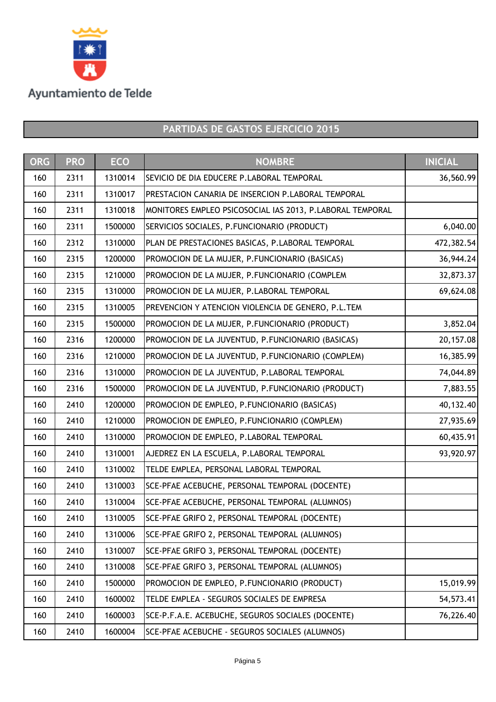

| <b>ORG</b> | <b>PRO</b> | <b>ECO</b> | <b>NOMBRE</b>                                             | <b>INICIAL</b> |
|------------|------------|------------|-----------------------------------------------------------|----------------|
| 160        | 2311       | 1310014    | SEVICIO DE DIA EDUCERE P.LABORAL TEMPORAL                 | 36,560.99      |
| 160        | 2311       | 1310017    | PRESTACION CANARIA DE INSERCION P.LABORAL TEMPORAL        |                |
| 160        | 2311       | 1310018    | MONITORES EMPLEO PSICOSOCIAL IAS 2013, P.LABORAL TEMPORAL |                |
| 160        | 2311       | 1500000    | SERVICIOS SOCIALES, P.FUNCIONARIO (PRODUCT)               | 6,040.00       |
| 160        | 2312       | 1310000    | PLAN DE PRESTACIONES BASICAS, P.LABORAL TEMPORAL          | 472,382.54     |
| 160        | 2315       | 1200000    | PROMOCION DE LA MUJER, P.FUNCIONARIO (BASICAS)            | 36,944.24      |
| 160        | 2315       | 1210000    | PROMOCION DE LA MUJER, P.FUNCIONARIO (COMPLEM             | 32,873.37      |
| 160        | 2315       | 1310000    | PROMOCION DE LA MUJER, P.LABORAL TEMPORAL                 | 69,624.08      |
| 160        | 2315       | 1310005    | PREVENCION Y ATENCION VIOLENCIA DE GENERO, P.L.TEM        |                |
| 160        | 2315       | 1500000    | PROMOCION DE LA MUJER, P.FUNCIONARIO (PRODUCT)            | 3,852.04       |
| 160        | 2316       | 1200000    | PROMOCION DE LA JUVENTUD, P.FUNCIONARIO (BASICAS)         | 20,157.08      |
| 160        | 2316       | 1210000    | PROMOCION DE LA JUVENTUD, P.FUNCIONARIO (COMPLEM)         | 16,385.99      |
| 160        | 2316       | 1310000    | PROMOCION DE LA JUVENTUD, P.LABORAL TEMPORAL              | 74,044.89      |
| 160        | 2316       | 1500000    | PROMOCION DE LA JUVENTUD, P.FUNCIONARIO (PRODUCT)         | 7,883.55       |
| 160        | 2410       | 1200000    | PROMOCION DE EMPLEO, P.FUNCIONARIO (BASICAS)              | 40,132.40      |
| 160        | 2410       | 1210000    | PROMOCION DE EMPLEO, P. FUNCIONARIO (COMPLEM)             | 27,935.69      |
| 160        | 2410       | 1310000    | PROMOCION DE EMPLEO, P.LABORAL TEMPORAL                   | 60,435.91      |
| 160        | 2410       | 1310001    | AJEDREZ EN LA ESCUELA, P.LABORAL TEMPORAL                 | 93,920.97      |
| 160        | 2410       | 1310002    | TELDE EMPLEA, PERSONAL LABORAL TEMPORAL                   |                |
| 160        | 2410       | 1310003    | SCE-PFAE ACEBUCHE, PERSONAL TEMPORAL (DOCENTE)            |                |
| 160        | 2410       | 1310004    | SCE-PFAE ACEBUCHE, PERSONAL TEMPORAL (ALUMNOS)            |                |
| 160        | 2410       | 1310005    | SCE-PFAE GRIFO 2, PERSONAL TEMPORAL (DOCENTE)             |                |
| 160        | 2410       | 1310006    | SCE-PFAE GRIFO 2, PERSONAL TEMPORAL (ALUMNOS)             |                |
| 160        | 2410       | 1310007    | SCE-PFAE GRIFO 3, PERSONAL TEMPORAL (DOCENTE)             |                |
| 160        | 2410       | 1310008    | SCE-PFAE GRIFO 3, PERSONAL TEMPORAL (ALUMNOS)             |                |
| 160        | 2410       | 1500000    | PROMOCION DE EMPLEO, P.FUNCIONARIO (PRODUCT)              | 15,019.99      |
| 160        | 2410       | 1600002    | TELDE EMPLEA - SEGUROS SOCIALES DE EMPRESA                | 54,573.41      |
| 160        | 2410       | 1600003    | SCE-P.F.A.E. ACEBUCHE, SEGUROS SOCIALES (DOCENTE)         | 76,226.40      |
| 160        | 2410       | 1600004    | SCE-PFAE ACEBUCHE - SEGUROS SOCIALES (ALUMNOS)            |                |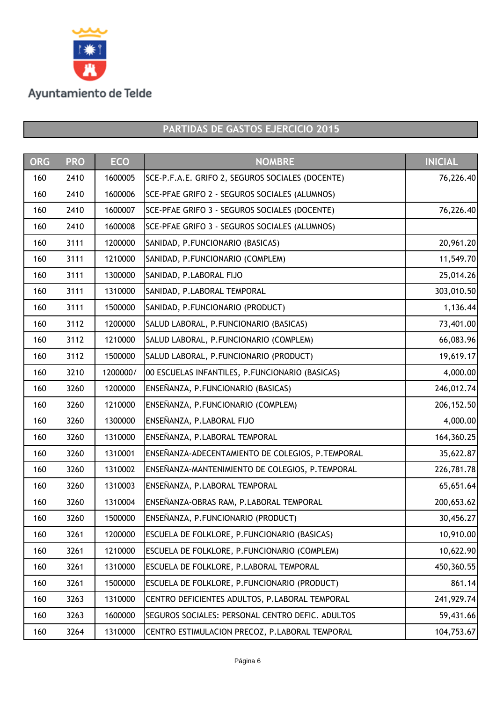

| <b>ORG</b> | <b>PRO</b> | <b>ECO</b> | <b>NOMBRE</b>                                    | <b>INICIAL</b> |
|------------|------------|------------|--------------------------------------------------|----------------|
| 160        | 2410       | 1600005    | SCE-P.F.A.E. GRIFO 2, SEGUROS SOCIALES (DOCENTE) | 76,226.40      |
| 160        | 2410       | 1600006    | SCE-PFAE GRIFO 2 - SEGUROS SOCIALES (ALUMNOS)    |                |
| 160        | 2410       | 1600007    | SCE-PFAE GRIFO 3 - SEGUROS SOCIALES (DOCENTE)    | 76,226.40      |
| 160        | 2410       | 1600008    | SCE-PFAE GRIFO 3 - SEGUROS SOCIALES (ALUMNOS)    |                |
| 160        | 3111       | 1200000    | SANIDAD, P.FUNCIONARIO (BASICAS)                 | 20,961.20      |
| 160        | 3111       | 1210000    | SANIDAD, P.FUNCIONARIO (COMPLEM)                 | 11,549.70      |
| 160        | 3111       | 1300000    | SANIDAD, P.LABORAL FIJO                          | 25,014.26      |
| 160        | 3111       | 1310000    | SANIDAD, P.LABORAL TEMPORAL                      | 303,010.50     |
| 160        | 3111       | 1500000    | SANIDAD, P.FUNCIONARIO (PRODUCT)                 | 1,136.44       |
| 160        | 3112       | 1200000    | SALUD LABORAL, P.FUNCIONARIO (BASICAS)           | 73,401.00      |
| 160        | 3112       | 1210000    | SALUD LABORAL, P.FUNCIONARIO (COMPLEM)           | 66,083.96      |
| 160        | 3112       | 1500000    | SALUD LABORAL, P.FUNCIONARIO (PRODUCT)           | 19,619.17      |
| 160        | 3210       | 1200000/   | 00 ESCUELAS INFANTILES, P.FUNCIONARIO (BASICAS)  | 4,000.00       |
| 160        | 3260       | 1200000    | ENSEÑANZA, P.FUNCIONARIO (BASICAS)               | 246,012.74     |
| 160        | 3260       | 1210000    | ENSEÑANZA, P.FUNCIONARIO (COMPLEM)               | 206, 152.50    |
| 160        | 3260       | 1300000    | ENSEÑANZA, P.LABORAL FIJO                        | 4,000.00       |
| 160        | 3260       | 1310000    | ENSEÑANZA, P.LABORAL TEMPORAL                    | 164,360.25     |
| 160        | 3260       | 1310001    | ENSEÑANZA-ADECENTAMIENTO DE COLEGIOS, P.TEMPORAL | 35,622.87      |
| 160        | 3260       | 1310002    | ENSEÑANZA-MANTENIMIENTO DE COLEGIOS, P.TEMPORAL  | 226,781.78     |
| 160        | 3260       | 1310003    | ENSEÑANZA, P.LABORAL TEMPORAL                    | 65,651.64      |
| 160        | 3260       | 1310004    | ENSEÑANZA-OBRAS RAM, P.LABORAL TEMPORAL          | 200,653.62     |
| 160        | 3260       | 1500000    | ENSEÑANZA, P.FUNCIONARIO (PRODUCT)               | 30,456.27      |
| 160        | 3261       | 1200000    | ESCUELA DE FOLKLORE, P.FUNCIONARIO (BASICAS)     | 10,910.00      |
| 160        | 3261       | 1210000    | ESCUELA DE FOLKLORE, P.FUNCIONARIO (COMPLEM)     | 10,622.90      |
| 160        | 3261       | 1310000    | ESCUELA DE FOLKLORE, P.LABORAL TEMPORAL          | 450,360.55     |
| 160        | 3261       | 1500000    | ESCUELA DE FOLKLORE, P.FUNCIONARIO (PRODUCT)     | 861.14         |
| 160        | 3263       | 1310000    | CENTRO DEFICIENTES ADULTOS, P.LABORAL TEMPORAL   | 241,929.74     |
| 160        | 3263       | 1600000    | SEGUROS SOCIALES: PERSONAL CENTRO DEFIC. ADULTOS | 59,431.66      |
| 160        | 3264       | 1310000    | CENTRO ESTIMULACION PRECOZ, P.LABORAL TEMPORAL   | 104,753.67     |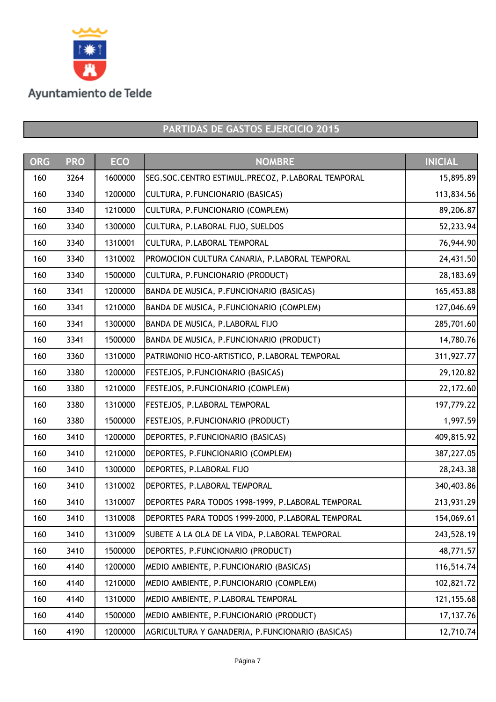

| <b>ORG</b> | <b>PRO</b> | <b>ECO</b> | <b>NOMBRE</b>                                     | <b>INICIAL</b> |
|------------|------------|------------|---------------------------------------------------|----------------|
| 160        | 3264       | 1600000    | SEG.SOC.CENTRO ESTIMUL.PRECOZ, P.LABORAL TEMPORAL | 15,895.89      |
| 160        | 3340       | 1200000    | CULTURA, P.FUNCIONARIO (BASICAS)                  | 113,834.56     |
| 160        | 3340       | 1210000    | CULTURA, P.FUNCIONARIO (COMPLEM)                  | 89,206.87      |
| 160        | 3340       | 1300000    | CULTURA, P.LABORAL FIJO, SUELDOS                  | 52,233.94      |
| 160        | 3340       | 1310001    | CULTURA, P.LABORAL TEMPORAL                       | 76,944.90      |
| 160        | 3340       | 1310002    | PROMOCION CULTURA CANARIA, P.LABORAL TEMPORAL     | 24,431.50      |
| 160        | 3340       | 1500000    | CULTURA, P.FUNCIONARIO (PRODUCT)                  | 28,183.69      |
| 160        | 3341       | 1200000    | BANDA DE MUSICA, P.FUNCIONARIO (BASICAS)          | 165,453.88     |
| 160        | 3341       | 1210000    | BANDA DE MUSICA, P.FUNCIONARIO (COMPLEM)          | 127,046.69     |
| 160        | 3341       | 1300000    | BANDA DE MUSICA, P.LABORAL FIJO                   | 285,701.60     |
| 160        | 3341       | 1500000    | BANDA DE MUSICA, P.FUNCIONARIO (PRODUCT)          | 14,780.76      |
| 160        | 3360       | 1310000    | PATRIMONIO HCO-ARTISTICO, P.LABORAL TEMPORAL      | 311,927.77     |
| 160        | 3380       | 1200000    | FESTEJOS, P.FUNCIONARIO (BASICAS)                 | 29,120.82      |
| 160        | 3380       | 1210000    | FESTEJOS, P.FUNCIONARIO (COMPLEM)                 | 22,172.60      |
| 160        | 3380       | 1310000    | FESTEJOS, P.LABORAL TEMPORAL                      | 197,779.22     |
| 160        | 3380       | 1500000    | FESTEJOS, P.FUNCIONARIO (PRODUCT)                 | 1,997.59       |
| 160        | 3410       | 1200000    | DEPORTES, P.FUNCIONARIO (BASICAS)                 | 409,815.92     |
| 160        | 3410       | 1210000    | DEPORTES, P.FUNCIONARIO (COMPLEM)                 | 387,227.05     |
| 160        | 3410       | 1300000    | DEPORTES, P.LABORAL FIJO                          | 28,243.38      |
| 160        | 3410       | 1310002    | DEPORTES, P.LABORAL TEMPORAL                      | 340,403.86     |
| 160        | 3410       | 1310007    | DEPORTES PARA TODOS 1998-1999, P.LABORAL TEMPORAL | 213,931.29     |
| 160        | 3410       | 1310008    | DEPORTES PARA TODOS 1999-2000, P.LABORAL TEMPORAL | 154,069.61     |
| 160        | 3410       | 1310009    | SUBETE A LA OLA DE LA VIDA, P.LABORAL TEMPORAL    | 243,528.19     |
| 160        | 3410       | 1500000    | DEPORTES, P.FUNCIONARIO (PRODUCT)                 | 48,771.57      |
| 160        | 4140       | 1200000    | MEDIO AMBIENTE, P.FUNCIONARIO (BASICAS)           | 116,514.74     |
| 160        | 4140       | 1210000    | MEDIO AMBIENTE, P.FUNCIONARIO (COMPLEM)           | 102,821.72     |
| 160        | 4140       | 1310000    | MEDIO AMBIENTE, P.LABORAL TEMPORAL                | 121, 155.68    |
| 160        | 4140       | 1500000    | MEDIO AMBIENTE, P.FUNCIONARIO (PRODUCT)           | 17,137.76      |
| 160        | 4190       | 1200000    | AGRICULTURA Y GANADERIA, P.FUNCIONARIO (BASICAS)  | 12,710.74      |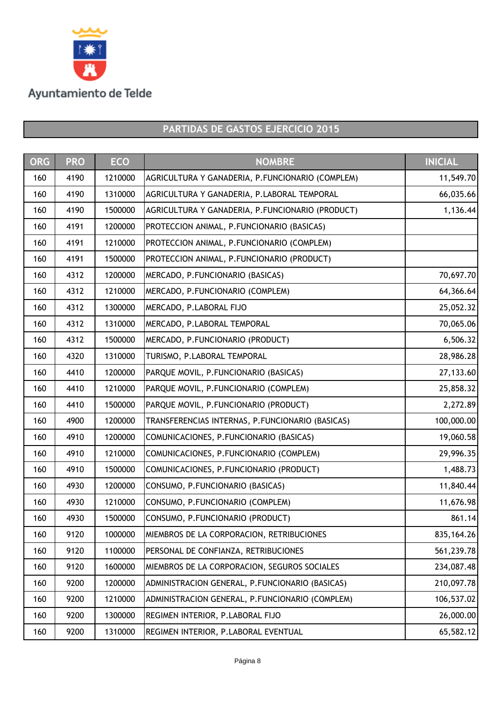

| <b>ORG</b> | <b>PRO</b> | <b>ECO</b> | <b>NOMBRE</b>                                    | <b>INICIAL</b> |
|------------|------------|------------|--------------------------------------------------|----------------|
| 160        | 4190       | 1210000    | AGRICULTURA Y GANADERIA, P.FUNCIONARIO (COMPLEM) | 11,549.70      |
| 160        | 4190       | 1310000    | AGRICULTURA Y GANADERIA, P.LABORAL TEMPORAL      | 66,035.66      |
| 160        | 4190       | 1500000    | AGRICULTURA Y GANADERIA, P.FUNCIONARIO (PRODUCT) | 1,136.44       |
| 160        | 4191       | 1200000    | PROTECCION ANIMAL, P.FUNCIONARIO (BASICAS)       |                |
| 160        | 4191       | 1210000    | PROTECCION ANIMAL, P.FUNCIONARIO (COMPLEM)       |                |
| 160        | 4191       | 1500000    | PROTECCION ANIMAL, P.FUNCIONARIO (PRODUCT)       |                |
| 160        | 4312       | 1200000    | MERCADO, P.FUNCIONARIO (BASICAS)                 | 70,697.70      |
| 160        | 4312       | 1210000    | MERCADO, P.FUNCIONARIO (COMPLEM)                 | 64,366.64      |
| 160        | 4312       | 1300000    | MERCADO, P.LABORAL FIJO                          | 25,052.32      |
| 160        | 4312       | 1310000    | MERCADO, P.LABORAL TEMPORAL                      | 70,065.06      |
| 160        | 4312       | 1500000    | MERCADO, P.FUNCIONARIO (PRODUCT)                 | 6,506.32       |
| 160        | 4320       | 1310000    | TURISMO, P.LABORAL TEMPORAL                      | 28,986.28      |
| 160        | 4410       | 1200000    | PARQUE MOVIL, P.FUNCIONARIO (BASICAS)            | 27,133.60      |
| 160        | 4410       | 1210000    | PARQUE MOVIL, P.FUNCIONARIO (COMPLEM)            | 25,858.32      |
| 160        | 4410       | 1500000    | PARQUE MOVIL, P.FUNCIONARIO (PRODUCT)            | 2,272.89       |
| 160        | 4900       | 1200000    | TRANSFERENCIAS INTERNAS, P.FUNCIONARIO (BASICAS) | 100,000.00     |
| 160        | 4910       | 1200000    | COMUNICACIONES, P.FUNCIONARIO (BASICAS)          | 19,060.58      |
| 160        | 4910       | 1210000    | COMUNICACIONES, P.FUNCIONARIO (COMPLEM)          | 29,996.35      |
| 160        | 4910       | 1500000    | COMUNICACIONES, P.FUNCIONARIO (PRODUCT)          | 1,488.73       |
| 160        | 4930       | 1200000    | CONSUMO, P.FUNCIONARIO (BASICAS)                 | 11,840.44      |
| 160        | 4930       | 1210000    | CONSUMO, P.FUNCIONARIO (COMPLEM)                 | 11,676.98      |
| 160        | 4930       | 1500000    | CONSUMO, P.FUNCIONARIO (PRODUCT)                 | 861.14         |
| 160        | 9120       | 1000000    | MIEMBROS DE LA CORPORACION, RETRIBUCIONES        | 835, 164. 26   |
| 160        | 9120       | 1100000    | PERSONAL DE CONFIANZA, RETRIBUCIONES             | 561,239.78     |
| 160        | 9120       | 1600000    | MIEMBROS DE LA CORPORACION, SEGUROS SOCIALES     | 234,087.48     |
| 160        | 9200       | 1200000    | ADMINISTRACION GENERAL, P.FUNCIONARIO (BASICAS)  | 210,097.78     |
| 160        | 9200       | 1210000    | ADMINISTRACION GENERAL, P.FUNCIONARIO (COMPLEM)  | 106,537.02     |
| 160        | 9200       | 1300000    | REGIMEN INTERIOR, P.LABORAL FIJO                 | 26,000.00      |
| 160        | 9200       | 1310000    | REGIMEN INTERIOR, P.LABORAL EVENTUAL             | 65,582.12      |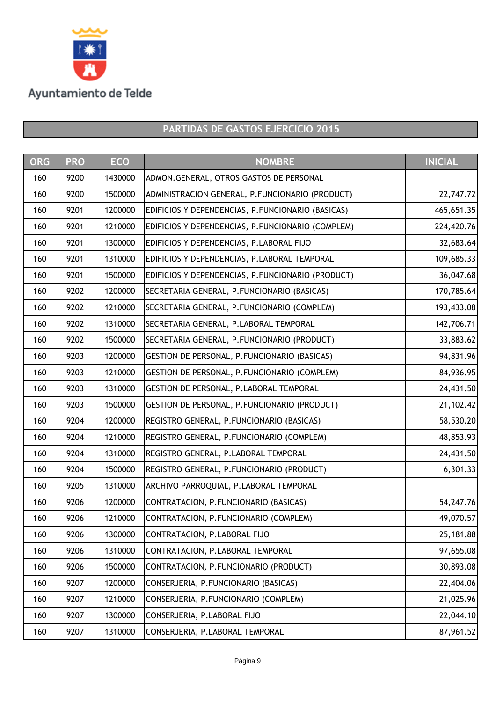

| <b>ORG</b> | <b>PRO</b> | <b>ECO</b> | <b>NOMBRE</b>                                     | <b>INICIAL</b> |
|------------|------------|------------|---------------------------------------------------|----------------|
| 160        | 9200       | 1430000    | ADMON.GENERAL, OTROS GASTOS DE PERSONAL           |                |
| 160        | 9200       | 1500000    | ADMINISTRACION GENERAL, P.FUNCIONARIO (PRODUCT)   | 22,747.72      |
| 160        | 9201       | 1200000    | EDIFICIOS Y DEPENDENCIAS, P.FUNCIONARIO (BASICAS) | 465,651.35     |
| 160        | 9201       | 1210000    | EDIFICIOS Y DEPENDENCIAS, P.FUNCIONARIO (COMPLEM) | 224,420.76     |
| 160        | 9201       | 1300000    | EDIFICIOS Y DEPENDENCIAS, P.LABORAL FIJO          | 32,683.64      |
| 160        | 9201       | 1310000    | EDIFICIOS Y DEPENDENCIAS, P.LABORAL TEMPORAL      | 109,685.33     |
| 160        | 9201       | 1500000    | EDIFICIOS Y DEPENDENCIAS, P.FUNCIONARIO (PRODUCT) | 36,047.68      |
| 160        | 9202       | 1200000    | SECRETARIA GENERAL, P.FUNCIONARIO (BASICAS)       | 170,785.64     |
| 160        | 9202       | 1210000    | SECRETARIA GENERAL, P.FUNCIONARIO (COMPLEM)       | 193,433.08     |
| 160        | 9202       | 1310000    | SECRETARIA GENERAL, P.LABORAL TEMPORAL            | 142,706.71     |
| 160        | 9202       | 1500000    | SECRETARIA GENERAL, P.FUNCIONARIO (PRODUCT)       | 33,883.62      |
| 160        | 9203       | 1200000    | GESTION DE PERSONAL, P. FUNCIONARIO (BASICAS)     | 94,831.96      |
| 160        | 9203       | 1210000    | GESTION DE PERSONAL, P. FUNCIONARIO (COMPLEM)     | 84,936.95      |
| 160        | 9203       | 1310000    | GESTION DE PERSONAL, P.LABORAL TEMPORAL           | 24,431.50      |
| 160        | 9203       | 1500000    | GESTION DE PERSONAL, P.FUNCIONARIO (PRODUCT)      | 21,102.42      |
| 160        | 9204       | 1200000    | REGISTRO GENERAL, P.FUNCIONARIO (BASICAS)         | 58,530.20      |
| 160        | 9204       | 1210000    | REGISTRO GENERAL, P.FUNCIONARIO (COMPLEM)         | 48,853.93      |
| 160        | 9204       | 1310000    | REGISTRO GENERAL, P.LABORAL TEMPORAL              | 24,431.50      |
| 160        | 9204       | 1500000    | REGISTRO GENERAL, P.FUNCIONARIO (PRODUCT)         | 6,301.33       |
| 160        | 9205       | 1310000    | ARCHIVO PARROQUIAL, P.LABORAL TEMPORAL            |                |
| 160        | 9206       | 1200000    | CONTRATACION, P.FUNCIONARIO (BASICAS)             | 54,247.76      |
| 160        | 9206       | 1210000    | CONTRATACION, P.FUNCIONARIO (COMPLEM)             | 49,070.57      |
| 160        | 9206       | 1300000    | CONTRATACION, P.LABORAL FIJO                      | 25,181.88      |
| 160        | 9206       | 1310000    | CONTRATACION, P.LABORAL TEMPORAL                  | 97,655.08      |
| 160        | 9206       | 1500000    | CONTRATACION, P.FUNCIONARIO (PRODUCT)             | 30,893.08      |
| 160        | 9207       | 1200000    | CONSERJERIA, P.FUNCIONARIO (BASICAS)              | 22,404.06      |
| 160        | 9207       | 1210000    | CONSERJERIA, P.FUNCIONARIO (COMPLEM)              | 21,025.96      |
| 160        | 9207       | 1300000    | CONSERJERIA, P.LABORAL FIJO                       | 22,044.10      |
| 160        | 9207       | 1310000    | CONSERJERIA, P.LABORAL TEMPORAL                   | 87,961.52      |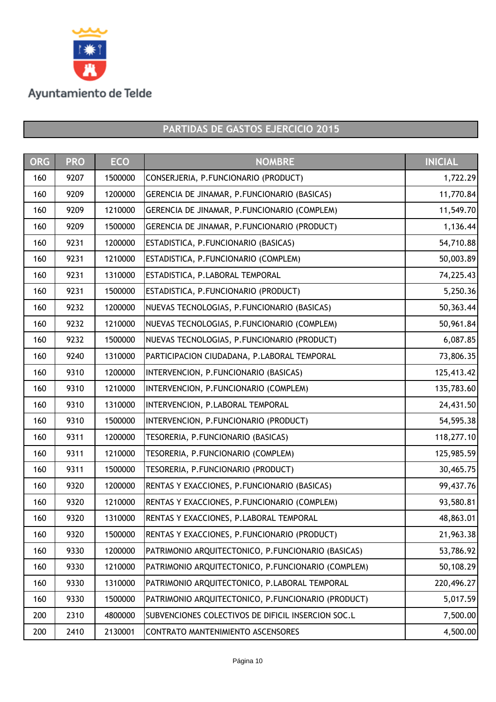

| <b>ORG</b> | <b>PRO</b> | <b>ECO</b> | <b>NOMBRE</b>                                      | <b>INICIAL</b> |
|------------|------------|------------|----------------------------------------------------|----------------|
| 160        | 9207       | 1500000    | CONSERJERIA, P.FUNCIONARIO (PRODUCT)               | 1,722.29       |
| 160        | 9209       | 1200000    | GERENCIA DE JINAMAR, P.FUNCIONARIO (BASICAS)       | 11,770.84      |
| 160        | 9209       | 1210000    | GERENCIA DE JINAMAR, P.FUNCIONARIO (COMPLEM)       | 11,549.70      |
| 160        | 9209       | 1500000    | GERENCIA DE JINAMAR, P.FUNCIONARIO (PRODUCT)       | 1,136.44       |
| 160        | 9231       | 1200000    | ESTADISTICA, P.FUNCIONARIO (BASICAS)               | 54,710.88      |
| 160        | 9231       | 1210000    | ESTADISTICA, P.FUNCIONARIO (COMPLEM)               | 50,003.89      |
| 160        | 9231       | 1310000    | ESTADISTICA, P.LABORAL TEMPORAL                    | 74,225.43      |
| 160        | 9231       | 1500000    | ESTADISTICA, P.FUNCIONARIO (PRODUCT)               | 5,250.36       |
| 160        | 9232       | 1200000    | NUEVAS TECNOLOGIAS, P.FUNCIONARIO (BASICAS)        | 50,363.44      |
| 160        | 9232       | 1210000    | NUEVAS TECNOLOGIAS, P.FUNCIONARIO (COMPLEM)        | 50,961.84      |
| 160        | 9232       | 1500000    | NUEVAS TECNOLOGIAS, P.FUNCIONARIO (PRODUCT)        | 6,087.85       |
| 160        | 9240       | 1310000    | PARTICIPACION CIUDADANA, P.LABORAL TEMPORAL        | 73,806.35      |
| 160        | 9310       | 1200000    | INTERVENCION, P.FUNCIONARIO (BASICAS)              | 125,413.42     |
| 160        | 9310       | 1210000    | INTERVENCION, P.FUNCIONARIO (COMPLEM)              | 135,783.60     |
| 160        | 9310       | 1310000    | INTERVENCION, P.LABORAL TEMPORAL                   | 24,431.50      |
| 160        | 9310       | 1500000    | INTERVENCION, P.FUNCIONARIO (PRODUCT)              | 54,595.38      |
| 160        | 9311       | 1200000    | TESORERIA, P.FUNCIONARIO (BASICAS)                 | 118,277.10     |
| 160        | 9311       | 1210000    | TESORERIA, P.FUNCIONARIO (COMPLEM)                 | 125,985.59     |
| 160        | 9311       | 1500000    | TESORERIA, P.FUNCIONARIO (PRODUCT)                 | 30,465.75      |
| 160        | 9320       | 1200000    | RENTAS Y EXACCIONES, P.FUNCIONARIO (BASICAS)       | 99,437.76      |
| 160        | 9320       | 1210000    | RENTAS Y EXACCIONES, P.FUNCIONARIO (COMPLEM)       | 93,580.81      |
| 160        | 9320       | 1310000    | RENTAS Y EXACCIONES, P.LABORAL TEMPORAL            | 48,863.01      |
| 160        | 9320       | 1500000    | RENTAS Y EXACCIONES, P.FUNCIONARIO (PRODUCT)       | 21,963.38      |
| 160        | 9330       | 1200000    | PATRIMONIO ARQUITECTONICO, P.FUNCIONARIO (BASICAS) | 53,786.92      |
| 160        | 9330       | 1210000    | PATRIMONIO ARQUITECTONICO, P.FUNCIONARIO (COMPLEM) | 50,108.29      |
| 160        | 9330       | 1310000    | PATRIMONIO ARQUITECTONICO, P.LABORAL TEMPORAL      | 220,496.27     |
| 160        | 9330       | 1500000    | PATRIMONIO ARQUITECTONICO, P.FUNCIONARIO (PRODUCT) | 5,017.59       |
| 200        | 2310       | 4800000    | SUBVENCIONES COLECTIVOS DE DIFICIL INSERCION SOC.L | 7,500.00       |
| 200        | 2410       | 2130001    | CONTRATO MANTENIMIENTO ASCENSORES                  | 4,500.00       |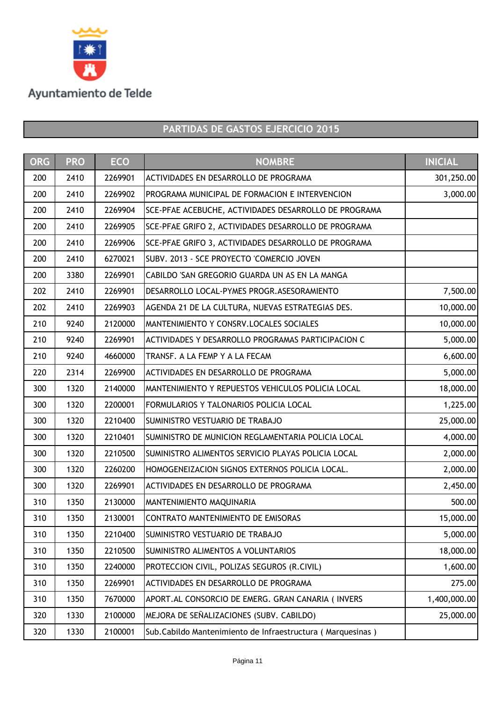

| <b>ORG</b> | <b>PRO</b> | <b>ECO</b> | <b>NOMBRE</b>                                              | <b>INICIAL</b> |
|------------|------------|------------|------------------------------------------------------------|----------------|
| 200        | 2410       | 2269901    | ACTIVIDADES EN DESARROLLO DE PROGRAMA                      | 301,250.00     |
| 200        | 2410       | 2269902    | PROGRAMA MUNICIPAL DE FORMACION E INTERVENCION             | 3,000.00       |
| 200        | 2410       | 2269904    | SCE-PFAE ACEBUCHE, ACTIVIDADES DESARROLLO DE PROGRAMA      |                |
| 200        | 2410       | 2269905    | SCE-PFAE GRIFO 2, ACTIVIDADES DESARROLLO DE PROGRAMA       |                |
| 200        | 2410       | 2269906    | SCE-PFAE GRIFO 3, ACTIVIDADES DESARROLLO DE PROGRAMA       |                |
| 200        | 2410       | 6270021    | SUBV. 2013 - SCE PROYECTO 'COMERCIO JOVEN                  |                |
| 200        | 3380       | 2269901    | CABILDO 'SAN GREGORIO GUARDA UN AS EN LA MANGA             |                |
| 202        | 2410       | 2269901    | DESARROLLO LOCAL-PYMES PROGR. ASESORAMIENTO                | 7,500.00       |
| 202        | 2410       | 2269903    | AGENDA 21 DE LA CULTURA, NUEVAS ESTRATEGIAS DES.           | 10,000.00      |
| 210        | 9240       | 2120000    | MANTENIMIENTO Y CONSRV.LOCALES SOCIALES                    | 10,000.00      |
| 210        | 9240       | 2269901    | ACTIVIDADES Y DESARROLLO PROGRAMAS PARTICIPACION C         | 5,000.00       |
| 210        | 9240       | 4660000    | TRANSF. A LA FEMP Y A LA FECAM                             | 6,600.00       |
| 220        | 2314       | 2269900    | ACTIVIDADES EN DESARROLLO DE PROGRAMA                      | 5,000.00       |
| 300        | 1320       | 2140000    | MANTENIMIENTO Y REPUESTOS VEHICULOS POLICIA LOCAL          | 18,000.00      |
| 300        | 1320       | 2200001    | FORMULARIOS Y TALONARIOS POLICIA LOCAL                     | 1,225.00       |
| 300        | 1320       | 2210400    | SUMINISTRO VESTUARIO DE TRABAJO                            | 25,000.00      |
| 300        | 1320       | 2210401    | SUMINISTRO DE MUNICION REGLAMENTARIA POLICIA LOCAL         | 4,000.00       |
| 300        | 1320       | 2210500    | SUMINISTRO ALIMENTOS SERVICIO PLAYAS POLICIA LOCAL         | 2,000.00       |
| 300        | 1320       | 2260200    | HOMOGENEIZACION SIGNOS EXTERNOS POLICIA LOCAL.             | 2,000.00       |
| 300        | 1320       | 2269901    | ACTIVIDADES EN DESARROLLO DE PROGRAMA                      | 2,450.00       |
| 310        | 1350       | 2130000    | MANTENIMIENTO MAQUINARIA                                   | 500.00         |
| 310        | 1350       | 2130001    | CONTRATO MANTENIMIENTO DE EMISORAS                         | 15,000.00      |
| 310        | 1350       | 2210400    | SUMINISTRO VESTUARIO DE TRABAJO                            | 5,000.00       |
| 310        | 1350       | 2210500    | SUMINISTRO ALIMENTOS A VOLUNTARIOS                         | 18,000.00      |
| 310        | 1350       | 2240000    | PROTECCION CIVIL, POLIZAS SEGUROS (R.CIVIL)                | 1,600.00       |
| 310        | 1350       | 2269901    | ACTIVIDADES EN DESARROLLO DE PROGRAMA                      | 275.00         |
| 310        | 1350       | 7670000    | APORT. AL CONSORCIO DE EMERG. GRAN CANARIA (INVERS         | 1,400,000.00   |
| 320        | 1330       | 2100000    | MEJORA DE SEÑALIZACIONES (SUBV. CABILDO)                   | 25,000.00      |
| 320        | 1330       | 2100001    | Sub.Cabildo Mantenimiento de Infraestructura (Marquesinas) |                |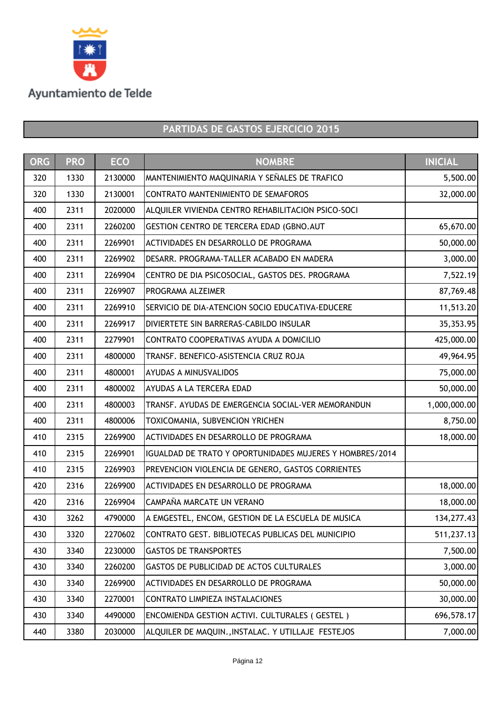

| <b>ORG</b> | <b>PRO</b> | <b>ECO</b> | <b>NOMBRE</b>                                            | <b>INICIAL</b> |
|------------|------------|------------|----------------------------------------------------------|----------------|
| 320        | 1330       | 2130000    | MANTENIMIENTO MAQUINARIA Y SEÑALES DE TRAFICO            | 5,500.00       |
| 320        | 1330       | 2130001    | CONTRATO MANTENIMIENTO DE SEMAFOROS                      | 32,000.00      |
| 400        | 2311       | 2020000    | ALQUILER VIVIENDA CENTRO REHABILITACION PSICO-SOCI       |                |
| 400        | 2311       | 2260200    | GESTION CENTRO DE TERCERA EDAD (GBNO.AUT                 | 65,670.00      |
| 400        | 2311       | 2269901    | ACTIVIDADES EN DESARROLLO DE PROGRAMA                    | 50,000.00      |
| 400        | 2311       | 2269902    | DESARR. PROGRAMA-TALLER ACABADO EN MADERA                | 3,000.00       |
| 400        | 2311       | 2269904    | CENTRO DE DIA PSICOSOCIAL, GASTOS DES. PROGRAMA          | 7,522.19       |
| 400        | 2311       | 2269907    | PROGRAMA ALZEIMER                                        | 87,769.48      |
| 400        | 2311       | 2269910    | SERVICIO DE DIA-ATENCION SOCIO EDUCATIVA-EDUCERE         | 11,513.20      |
| 400        | 2311       | 2269917    | DIVIERTETE SIN BARRERAS-CABILDO INSULAR                  | 35,353.95      |
| 400        | 2311       | 2279901    | CONTRATO COOPERATIVAS AYUDA A DOMICILIO                  | 425,000.00     |
| 400        | 2311       | 4800000    | TRANSF. BENEFICO-ASISTENCIA CRUZ ROJA                    | 49,964.95      |
| 400        | 2311       | 4800001    | <b>AYUDAS A MINUSVALIDOS</b>                             | 75,000.00      |
| 400        | 2311       | 4800002    | AYUDAS A LA TERCERA EDAD                                 | 50,000.00      |
| 400        | 2311       | 4800003    | TRANSF. AYUDAS DE EMERGENCIA SOCIAL-VER MEMORANDUN       | 1,000,000.00   |
| 400        | 2311       | 4800006    | TOXICOMANIA, SUBVENCION YRICHEN                          | 8,750.00       |
| 410        | 2315       | 2269900    | ACTIVIDADES EN DESARROLLO DE PROGRAMA                    | 18,000.00      |
| 410        | 2315       | 2269901    | IGUALDAD DE TRATO Y OPORTUNIDADES MUJERES Y HOMBRES/2014 |                |
| 410        | 2315       | 2269903    | PREVENCION VIOLENCIA DE GENERO, GASTOS CORRIENTES        |                |
| 420        | 2316       | 2269900    | ACTIVIDADES EN DESARROLLO DE PROGRAMA                    | 18,000.00      |
| 420        | 2316       | 2269904    | CAMPAÑA MARCATE UN VERANO                                | 18,000.00      |
| 430        | 3262       | 4790000    | A EMGESTEL, ENCOM, GESTION DE LA ESCUELA DE MUSICA       | 134, 277. 43   |
| 430        | 3320       | 2270602    | CONTRATO GEST. BIBLIOTECAS PUBLICAS DEL MUNICIPIO        | 511,237.13     |
| 430        | 3340       | 2230000    | <b>GASTOS DE TRANSPORTES</b>                             | 7,500.00       |
| 430        | 3340       | 2260200    | GASTOS DE PUBLICIDAD DE ACTOS CULTURALES                 | 3,000.00       |
| 430        | 3340       | 2269900    | ACTIVIDADES EN DESARROLLO DE PROGRAMA                    | 50,000.00      |
| 430        | 3340       | 2270001    | CONTRATO LIMPIEZA INSTALACIONES                          | 30,000.00      |
| 430        | 3340       | 4490000    | ENCOMIENDA GESTION ACTIVI. CULTURALES (GESTEL)           | 696,578.17     |
| 440        | 3380       | 2030000    | ALQUILER DE MAQUIN., INSTALAC. Y UTILLAJE FESTEJOS       | 7,000.00       |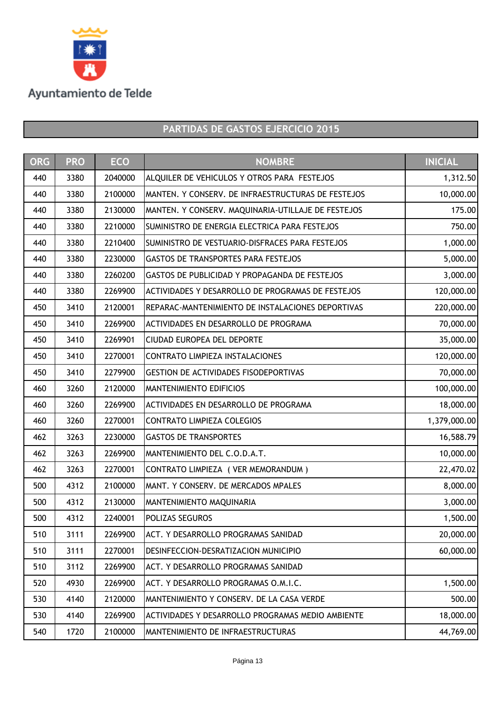

| <b>ORG</b> | <b>PRO</b> | <b>ECO</b> | <b>NOMBRE</b>                                      | <b>INICIAL</b> |
|------------|------------|------------|----------------------------------------------------|----------------|
| 440        | 3380       | 2040000    | ALQUILER DE VEHICULOS Y OTROS PARA FESTEJOS        | 1,312.50       |
| 440        | 3380       | 2100000    | MANTEN. Y CONSERV. DE INFRAESTRUCTURAS DE FESTEJOS | 10,000.00      |
| 440        | 3380       | 2130000    | MANTEN. Y CONSERV. MAQUINARIA-UTILLAJE DE FESTEJOS | 175.00         |
| 440        | 3380       | 2210000    | SUMINISTRO DE ENERGIA ELECTRICA PARA FESTEJOS      | 750.00         |
| 440        | 3380       | 2210400    | SUMINISTRO DE VESTUARIO-DISFRACES PARA FESTEJOS    | 1,000.00       |
| 440        | 3380       | 2230000    | <b>GASTOS DE TRANSPORTES PARA FESTEJOS</b>         | 5,000.00       |
| 440        | 3380       | 2260200    | GASTOS DE PUBLICIDAD Y PROPAGANDA DE FESTEJOS      | 3,000.00       |
| 440        | 3380       | 2269900    | ACTIVIDADES Y DESARROLLO DE PROGRAMAS DE FESTEJOS  | 120,000.00     |
| 450        | 3410       | 2120001    | REPARAC-MANTENIMIENTO DE INSTALACIONES DEPORTIVAS  | 220,000.00     |
| 450        | 3410       | 2269900    | <b>ACTIVIDADES EN DESARROLLO DE PROGRAMA</b>       | 70,000.00      |
| 450        | 3410       | 2269901    | <b>CIUDAD EUROPEA DEL DEPORTE</b>                  | 35,000.00      |
| 450        | 3410       | 2270001    | CONTRATO LIMPIEZA INSTALACIONES                    | 120,000.00     |
| 450        | 3410       | 2279900    | <b>GESTION DE ACTIVIDADES FISODEPORTIVAS</b>       | 70,000.00      |
| 460        | 3260       | 2120000    | <b>MANTENIMIENTO EDIFICIOS</b>                     | 100,000.00     |
| 460        | 3260       | 2269900    | ACTIVIDADES EN DESARROLLO DE PROGRAMA              | 18,000.00      |
| 460        | 3260       | 2270001    | CONTRATO LIMPIEZA COLEGIOS                         | 1,379,000.00   |
| 462        | 3263       | 2230000    | <b>GASTOS DE TRANSPORTES</b>                       | 16,588.79      |
| 462        | 3263       | 2269900    | MANTENIMIENTO DEL C.O.D.A.T.                       | 10,000.00      |
| 462        | 3263       | 2270001    | CONTRATO LIMPIEZA ( VER MEMORANDUM )               | 22,470.02      |
| 500        | 4312       | 2100000    | MANT. Y CONSERV. DE MERCADOS MPALES                | 8,000.00       |
| 500        | 4312       | 2130000    | MANTENIMIENTO MAQUINARIA                           | 3,000.00       |
| 500        | 4312       | 2240001    | <b>POLIZAS SEGUROS</b>                             | 1,500.00       |
| 510        | 3111       | 2269900    | ACT. Y DESARROLLO PROGRAMAS SANIDAD                | 20,000.00      |
| 510        | 3111       | 2270001    | DESINFECCION-DESRATIZACION MUNICIPIO               | 60,000.00      |
| 510        | 3112       | 2269900    | ACT. Y DESARROLLO PROGRAMAS SANIDAD                |                |
| 520        | 4930       | 2269900    | ACT. Y DESARROLLO PROGRAMAS O.M.I.C.               | 1,500.00       |
| 530        | 4140       | 2120000    | MANTENIMIENTO Y CONSERV. DE LA CASA VERDE          | 500.00         |
| 530        | 4140       | 2269900    | ACTIVIDADES Y DESARROLLO PROGRAMAS MEDIO AMBIENTE  | 18,000.00      |
| 540        | 1720       | 2100000    | MANTENIMIENTO DE INFRAESTRUCTURAS                  | 44,769.00      |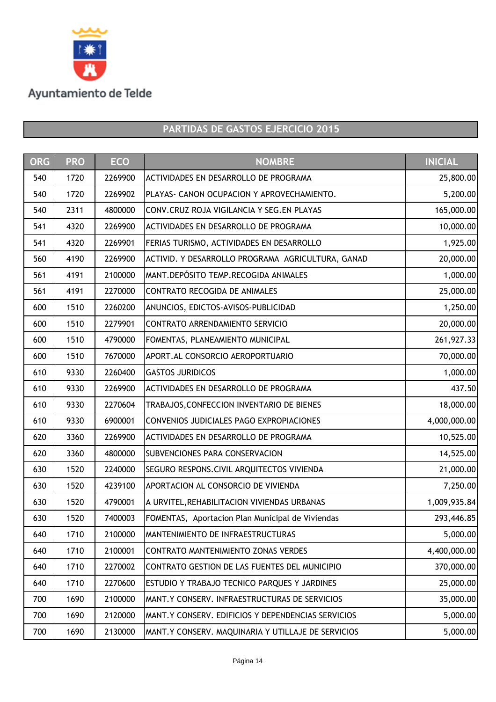

| <b>ORG</b> | <b>PRO</b> | <b>ECO</b> | <b>NOMBRE</b>                                       | <b>INICIAL</b> |
|------------|------------|------------|-----------------------------------------------------|----------------|
| 540        | 1720       | 2269900    | ACTIVIDADES EN DESARROLLO DE PROGRAMA               | 25,800.00      |
| 540        | 1720       | 2269902    | PLAYAS- CANON OCUPACION Y APROVECHAMIENTO.          | 5,200.00       |
| 540        | 2311       | 4800000    | CONV.CRUZ ROJA VIGILANCIA Y SEG.EN PLAYAS           | 165,000.00     |
| 541        | 4320       | 2269900    | ACTIVIDADES EN DESARROLLO DE PROGRAMA               | 10,000.00      |
| 541        | 4320       | 2269901    | FERIAS TURISMO, ACTIVIDADES EN DESARROLLO           | 1,925.00       |
| 560        | 4190       | 2269900    | ACTIVID. Y DESARROLLO PROGRAMA AGRICULTURA, GANAD   | 20,000.00      |
| 561        | 4191       | 2100000    | MANT.DEPÓSITO TEMP.RECOGIDA ANIMALES                | 1,000.00       |
| 561        | 4191       | 2270000    | CONTRATO RECOGIDA DE ANIMALES                       | 25,000.00      |
| 600        | 1510       | 2260200    | ANUNCIOS, EDICTOS-AVISOS-PUBLICIDAD                 | 1,250.00       |
| 600        | 1510       | 2279901    | CONTRATO ARRENDAMIENTO SERVICIO                     | 20,000.00      |
| 600        | 1510       | 4790000    | FOMENTAS, PLANEAMIENTO MUNICIPAL                    | 261,927.33     |
| 600        | 1510       | 7670000    | APORT. AL CONSORCIO AEROPORTUARIO                   | 70,000.00      |
| 610        | 9330       | 2260400    | <b>GASTOS JURIDICOS</b>                             | 1,000.00       |
| 610        | 9330       | 2269900    | ACTIVIDADES EN DESARROLLO DE PROGRAMA               | 437.50         |
| 610        | 9330       | 2270604    | TRABAJOS, CONFECCION INVENTARIO DE BIENES           | 18,000.00      |
| 610        | 9330       | 6900001    | CONVENIOS JUDICIALES PAGO EXPROPIACIONES            | 4,000,000.00   |
| 620        | 3360       | 2269900    | ACTIVIDADES EN DESARROLLO DE PROGRAMA               | 10,525.00      |
| 620        | 3360       | 4800000    | <b>SUBVENCIONES PARA CONSERVACION</b>               | 14,525.00      |
| 630        | 1520       | 2240000    | SEGURO RESPONS.CIVIL ARQUITECTOS VIVIENDA           | 21,000.00      |
| 630        | 1520       | 4239100    | APORTACION AL CONSORCIO DE VIVIENDA                 | 7,250.00       |
| 630        | 1520       | 4790001    | A URVITEL, REHABILITACION VIVIENDAS URBANAS         | 1,009,935.84   |
| 630        | 1520       | 7400003    | FOMENTAS, Aportacion Plan Municipal de Viviendas    | 293,446.85     |
| 640        | 1710       | 2100000    | MANTENIMIENTO DE INFRAESTRUCTURAS                   | 5,000.00       |
| 640        | 1710       | 2100001    | CONTRATO MANTENIMIENTO ZONAS VERDES                 | 4,400,000.00   |
| 640        | 1710       | 2270002    | CONTRATO GESTION DE LAS FUENTES DEL MUNICIPIO       | 370,000.00     |
| 640        | 1710       | 2270600    | <b>ESTUDIO Y TRABAJO TECNICO PARQUES Y JARDINES</b> | 25,000.00      |
| 700        | 1690       | 2100000    | MANT.Y CONSERV. INFRAESTRUCTURAS DE SERVICIOS       | 35,000.00      |
| 700        | 1690       | 2120000    | MANT.Y CONSERV. EDIFICIOS Y DEPENDENCIAS SERVICIOS  | 5,000.00       |
| 700        | 1690       | 2130000    | MANT.Y CONSERV. MAQUINARIA Y UTILLAJE DE SERVICIOS  | 5,000.00       |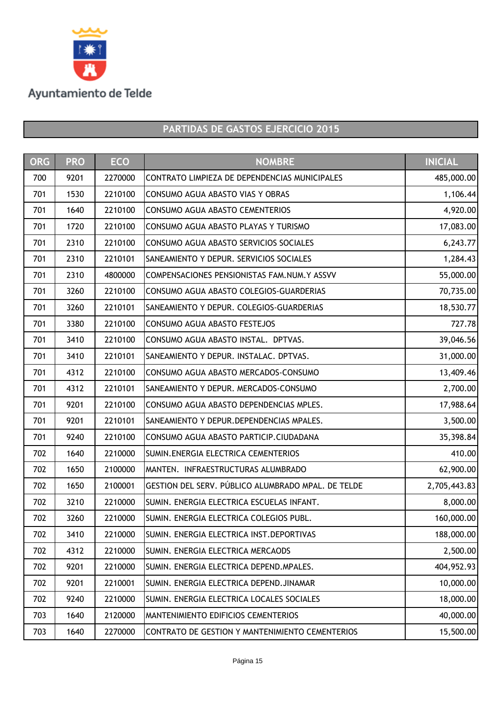

| <b>ORG</b> | <b>PRO</b> | <b>ECO</b> | <b>NOMBRE</b>                                      | <b>INICIAL</b> |
|------------|------------|------------|----------------------------------------------------|----------------|
| 700        | 9201       | 2270000    | CONTRATO LIMPIEZA DE DEPENDENCIAS MUNICIPALES      | 485,000.00     |
| 701        | 1530       | 2210100    | CONSUMO AGUA ABASTO VIAS Y OBRAS                   | 1,106.44       |
| 701        | 1640       | 2210100    | CONSUMO AGUA ABASTO CEMENTERIOS                    | 4,920.00       |
| 701        | 1720       | 2210100    | CONSUMO AGUA ABASTO PLAYAS Y TURISMO               | 17,083.00      |
| 701        | 2310       | 2210100    | CONSUMO AGUA ABASTO SERVICIOS SOCIALES             | 6,243.77       |
| 701        | 2310       | 2210101    | SANEAMIENTO Y DEPUR. SERVICIOS SOCIALES            | 1,284.43       |
| 701        | 2310       | 4800000    | COMPENSACIONES PENSIONISTAS FAM.NUM.Y ASSVV        | 55,000.00      |
| 701        | 3260       | 2210100    | CONSUMO AGUA ABASTO COLEGIOS-GUARDERIAS            | 70,735.00      |
| 701        | 3260       | 2210101    | SANEAMIENTO Y DEPUR. COLEGIOS-GUARDERIAS           | 18,530.77      |
| 701        | 3380       | 2210100    | CONSUMO AGUA ABASTO FESTEJOS                       | 727.78         |
| 701        | 3410       | 2210100    | CONSUMO AGUA ABASTO INSTAL. DPTVAS.                | 39,046.56      |
| 701        | 3410       | 2210101    | SANEAMIENTO Y DEPUR. INSTALAC. DPTVAS.             | 31,000.00      |
| 701        | 4312       | 2210100    | CONSUMO AGUA ABASTO MERCADOS-CONSUMO               | 13,409.46      |
| 701        | 4312       | 2210101    | SANEAMIENTO Y DEPUR. MERCADOS-CONSUMO              | 2,700.00       |
| 701        | 9201       | 2210100    | CONSUMO AGUA ABASTO DEPENDENCIAS MPLES.            | 17,988.64      |
| 701        | 9201       | 2210101    | SANEAMIENTO Y DEPUR.DEPENDENCIAS MPALES.           | 3,500.00       |
| 701        | 9240       | 2210100    | CONSUMO AGUA ABASTO PARTICIP.CIUDADANA             | 35,398.84      |
| 702        | 1640       | 2210000    | SUMIN. ENERGIA ELECTRICA CEMENTERIOS               | 410.00         |
| 702        | 1650       | 2100000    | MANTEN. INFRAESTRUCTURAS ALUMBRADO                 | 62,900.00      |
| 702        | 1650       | 2100001    | GESTION DEL SERV. PÚBLICO ALUMBRADO MPAL. DE TELDE | 2,705,443.83   |
| 702        | 3210       | 2210000    | SUMIN. ENERGIA ELECTRICA ESCUELAS INFANT.          | 8,000.00       |
| 702        | 3260       | 2210000    | SUMIN. ENERGIA ELECTRICA COLEGIOS PUBL.            | 160,000.00     |
| 702        | 3410       | 2210000    | SUMIN. ENERGIA ELECTRICA INST. DEPORTIVAS          | 188,000.00     |
| 702        | 4312       | 2210000    | SUMIN. ENERGIA ELECTRICA MERCAODS                  | 2,500.00       |
| 702        | 9201       | 2210000    | SUMIN. ENERGIA ELECTRICA DEPEND.MPALES.            | 404,952.93     |
| 702        | 9201       | 2210001    | SUMIN. ENERGIA ELECTRICA DEPEND.JINAMAR            | 10,000.00      |
| 702        | 9240       | 2210000    | SUMIN. ENERGIA ELECTRICA LOCALES SOCIALES          | 18,000.00      |
| 703        | 1640       | 2120000    | <b>MANTENIMIENTO EDIFICIOS CEMENTERIOS</b>         | 40,000.00      |
| 703        | 1640       | 2270000    | CONTRATO DE GESTION Y MANTENIMIENTO CEMENTERIOS    | 15,500.00      |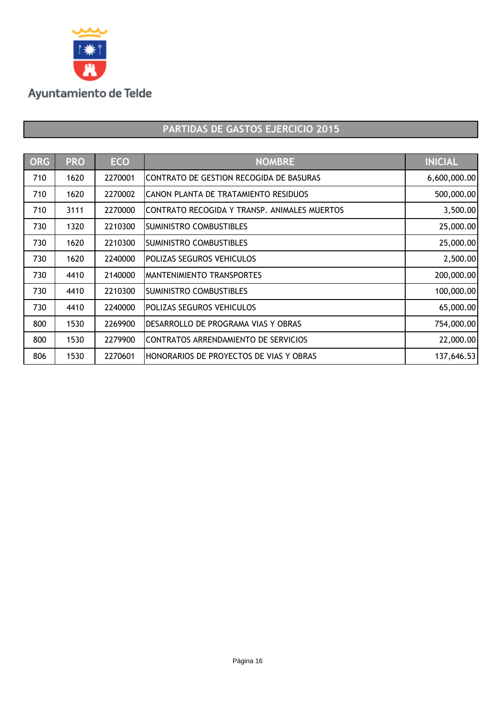

| ORG | <b>PRO</b> | <b>ECO</b> | <b>NOMBRE</b>                                | <b>INICIAL</b> |
|-----|------------|------------|----------------------------------------------|----------------|
| 710 | 1620       | 2270001    | CONTRATO DE GESTION RECOGIDA DE BASURAS      | 6,600,000.00   |
| 710 | 1620       | 2270002    | CANON PLANTA DE TRATAMIENTO RESIDUOS         | 500,000.00     |
| 710 | 3111       | 2270000    | CONTRATO RECOGIDA Y TRANSP. ANIMALES MUERTOS | 3,500.00       |
| 730 | 1320       | 2210300    | <b>SUMINISTRO COMBUSTIBLES</b>               | 25,000.00      |
| 730 | 1620       | 2210300    | <b>SUMINISTRO COMBUSTIBLES</b>               | 25,000.00      |
| 730 | 1620       | 2240000    | POLIZAS SEGUROS VEHICULOS                    | 2,500.00       |
| 730 | 4410       | 2140000    | IMANTENIMIENTO TRANSPORTES                   | 200,000.00     |
| 730 | 4410       | 2210300    | <b>SUMINISTRO COMBUSTIBLES</b>               | 100,000.00     |
| 730 | 4410       | 2240000    | <b>POLIZAS SEGUROS VEHICULOS</b>             | 65,000.00      |
| 800 | 1530       | 2269900    | DESARROLLO DE PROGRAMA VIAS Y OBRAS          | 754,000.00     |
| 800 | 1530       | 2279900    | CONTRATOS ARRENDAMIENTO DE SERVICIOS         | 22,000.00      |
| 806 | 1530       | 2270601    | HONORARIOS DE PROYECTOS DE VIAS Y OBRAS      | 137,646.53     |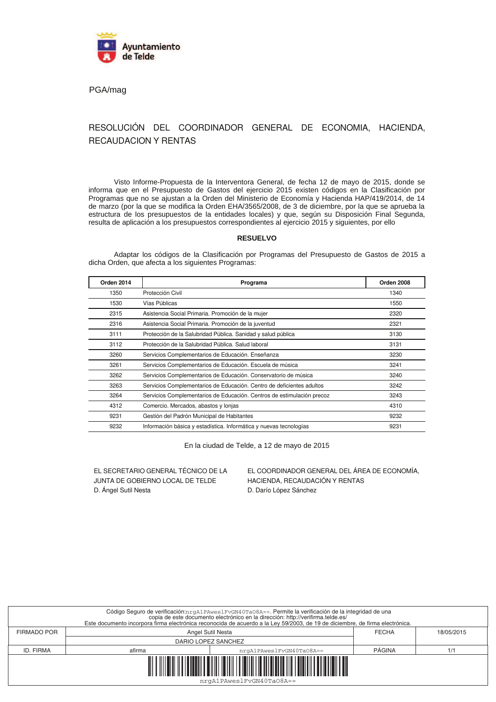

PGA/mag

### RESOLUCIÓN DEL COORDINADOR GENERAL DE ECONOMIA, HACIENDA, **RECAUDACION Y RENTAS**

Visto Informe-Propuesta de la Interventora General, de fecha 12 de mayo de 2015, donde se informa que en el Presupuesto de Gastos del ejercicio 2015 existen códigos en la Clasificación por Programas que no se ajustan a la Orden del Ministerio de Economía y Hacienda HAP/419/2014, de 14 de marzo (por la que se modifica la Orden EHA/3565/2008, de 3 de diciembre, por la que se aprueba la estructura de los presupuestos de la entidades locales) y que, según su Disposición Final Segunda, resulta de aplicación a los presupuestos correspondientes al ejercicio 2015 y siguientes, por ello

### **RESUELVO**

Adaptar los códigos de la Clasificación por Programas del Presupuesto de Gastos de 2015 a dicha Orden, que afecta a los siguientes Programas:

| Orden 2014 | Programa                                                               | Orden 2008 |
|------------|------------------------------------------------------------------------|------------|
| 1350       | Protección Civil                                                       | 1340       |
| 1530       | Vías Públicas                                                          | 1550       |
| 2315       | Asistencia Social Primaria. Promoción de la mujer                      | 2320       |
| 2316       | Asistencia Social Primaria. Promoción de la juventud                   | 2321       |
| 3111       | Protección de la Salubridad Pública. Sanidad y salud pública           | 3130       |
| 3112       | Protección de la Salubridad Pública. Salud laboral                     | 3131       |
| 3260       | Servicios Complementarios de Educación. Enseñanza                      | 3230       |
| 3261       | Servicios Complementarios de Educación. Escuela de música              | 3241       |
| 3262       | Servicios Complementarios de Educación. Conservatorio de música        | 3240       |
| 3263       | Servicios Complementarios de Educación. Centro de deficientes adultos  | 3242       |
| 3264       | Servicios Complementarios de Educación. Centros de estimulación precoz | 3243       |
| 4312       | Comercio. Mercados, abastos y lonjas                                   | 4310       |
| 9231       | Gestión del Padrón Municipal de Habitantes                             | 9232       |
| 9232       | Información básica y estadística. Informática y nuevas tecnologías     | 9231       |

En la ciudad de Telde, a 12 de mayo de 2015

EL SECRETARIO GENERAL TÉCNICO DE LA JUNTA DE GOBIERNO LOCAL DE TELDE D. Ángel Sutil Nesta

EL COORDINADOR GENERAL DEL ÁREA DE ECONOMÍA. HACIENDA, RECAUDACIÓN Y RENTAS D. Darío López Sánchez

|                    |                     | Código Seguro de verificación:nrgA1PAwes1FvGN40Ta08A==. Permite la verificación de la integridad de una<br>copia de este documento electrónico en la dirección: http://verifirma.telde.es/<br>Este documento incorpora firma electrónica reconocida de acuerdo a la Ley 59/2003, de 19 de diciembre, de firma electrónica. |               |            |
|--------------------|---------------------|----------------------------------------------------------------------------------------------------------------------------------------------------------------------------------------------------------------------------------------------------------------------------------------------------------------------------|---------------|------------|
| <b>FIRMADO POR</b> | Angel Sutil Nesta   |                                                                                                                                                                                                                                                                                                                            | <b>FECHA</b>  | 18/05/2015 |
|                    | DARIO LOPEZ SANCHEZ |                                                                                                                                                                                                                                                                                                                            |               |            |
| ID. FIRMA          | afirma              | nrgA1PAweslFvGN40TaO8A==                                                                                                                                                                                                                                                                                                   | <b>PÁGINA</b> | 1/1        |
|                    |                     | <u> III maanda ka mid maalaa ka mid maalaa ka mid maalaa ka mid maalaa ka mid maalaa ka mid maalaa ka mid maalaa</u><br>nrgA1PAwes1FvGN40Ta08A==                                                                                                                                                                           |               |            |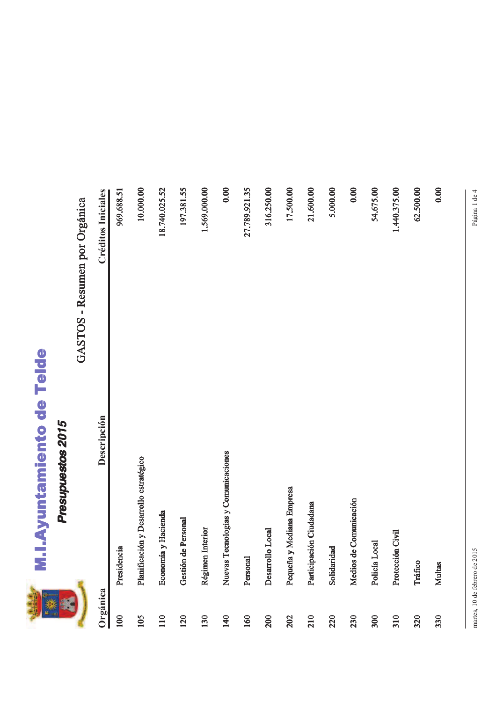

## **M.I.Ayuntamiento de Telde**

### Presupuestos 2015

### $\ddot{\phantom{0}}$  $\overline{\phantom{a}}$  $\sqrt{2}$  $\mathbf{I}$  $rac{6}{5}$  $\frac{1}{\sqrt{2}}$

|            |                                        | GASTOS - Resumen por Orgánica |
|------------|----------------------------------------|-------------------------------|
| Orgánica   | Descripción                            | <b>Créditos Iniciales</b>     |
| 100        | Presidencia                            | 969.688.51                    |
| 105        | Planificación y Desarrollo estratégico | 10.000.00                     |
| 110        | Economía y Hacienda                    | 18.740.025.52                 |
| <b>120</b> | de Personal<br>Gestión                 | 197.381.55                    |
| 130        | Régimen Interior                       | 1.569.000.00                  |
| 140        | Nuevas Tecnologías y Comunicaciones    | 0.00                          |
| 160        | Personal                               | 27.789.921.35                 |
| 200        | Desarrollo Local                       | 316.250.00                    |
| 202        | y Mediana Empresa<br>Pequeña           | 17.500.00                     |
| 210        | Participación Ciudadana                | 21.600.00                     |
| 220        | Solidaridad                            | 5.000.00                      |
| 230        | Medios de Comunicación                 | 0.00                          |
| 300        | Local<br>Policía I                     | 54.675.00                     |
| 310        | Protección Civil                       | 1.440.375.00                  |
| 320        | Tráfico                                | 62.500.00                     |
| 330        | <b>Multas</b>                          | 0.00                          |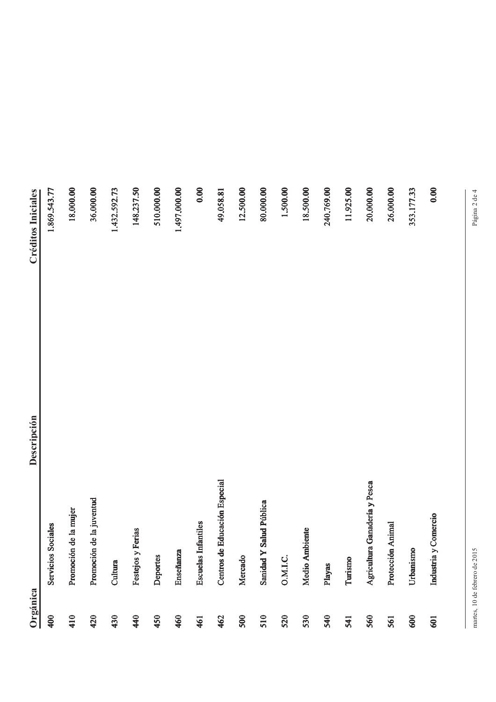| Orgánica |                               | Descripción | <b>Créditos Iniciales</b> |
|----------|-------------------------------|-------------|---------------------------|
| 400      | Servicios Sociales            |             | 1.869.543.77              |
| 410      | Promoción de la mujer         |             | 18.000.00                 |
| 420      | Promoción de la juventud      |             | 36.000.00                 |
| 430      | Cultura                       |             | 1.432.592.73              |
| 440      | Festejos y Ferias             |             | 148.237.50                |
| 450      | Deportes                      |             | 510.000.00                |
| 460      | <b>Enseñanza</b>              |             | 1.497.000.00              |
| 461      | <b>Escuelas Infantiles</b>    |             | 0.00                      |
| 462      | Centros de Educación Especial |             | 49.058.81                 |
| 500      | Mercado                       |             | 12.500.00                 |
| 510      | Y Salud Pública<br>Sanidad    |             | 80.000.00                 |
| 520      | O.M.I.C.                      |             | 1.500.00                  |
| 530      | Medio Ambiente                |             | 18.500.00                 |
| 540      | Playas                        |             | 240.769.00                |
| 541      | Turismo                       |             | 11.925.00                 |
| 560      | Agricultura Ganadería y Pesca |             | 20.000.00                 |
| 561      | Protección Animal             |             | 26.000.00                 |
| 600      | Urbanismo                     |             | 353.177.33                |
| 601      | Industria y Comercio          |             | 0.00                      |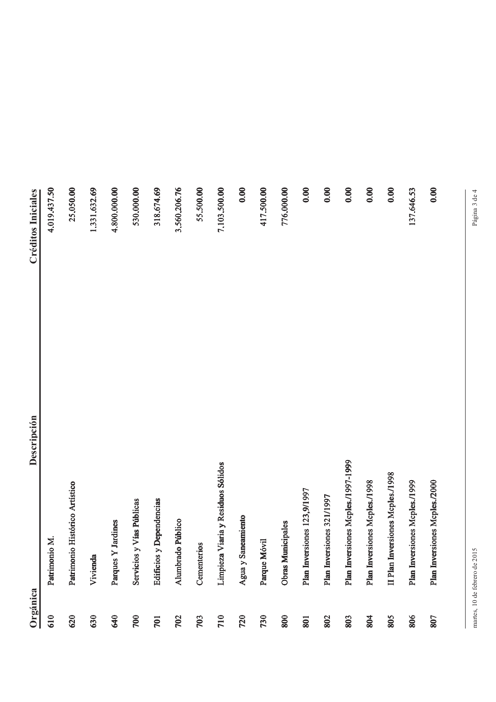| Orgánica | Descripción                        | <b>Créditos Iniciales</b> |
|----------|------------------------------------|---------------------------|
| 610      | Patrimonio M.                      | 4.019.437.50              |
| 620      | Patrimonio Histórico Artístico     | 25.050.00                 |
| 630      | Vivienda                           | 1.331.632.69              |
| 640      | Parques Y Jardines                 | 4.800.000.00              |
| 700      | Servicios y Vías Públicas          | 530.000.00                |
| 701      | Edificios y Dependencias           | 318.674.69                |
| 702      | Alumbrado Público                  | 3.560.206.76              |
| 703      | Cementerios                        | 55.500.00                 |
| 710      | Limpieza Viaria y Residuos Sólidos | 7.103.500.00              |
| 720      | Agua y Saneamiento                 | 0.00                      |
| 730      | Parque Móvil                       | 417.500.00                |
| 800      | Obras Municipales                  | 776.000.00                |
| 801      | Plan Inversiones 123,9/1997        | 0.00                      |
| 802      | Plan Inversiones 321/1997          | 0.00                      |
| 803      | Plan Inversiones Mcples./1997-1999 | 0.00                      |
| 804      | Plan Inversiones Mcples./1998      | 0.00                      |
| 805      | Il Plan Inversiones Mcples./1998   | 0.00                      |
| 806      | Plan Inversiones Mcples./1999      | 137.646.53                |
| 807      | Plan Inversiones Mcples./2000      | 0.00                      |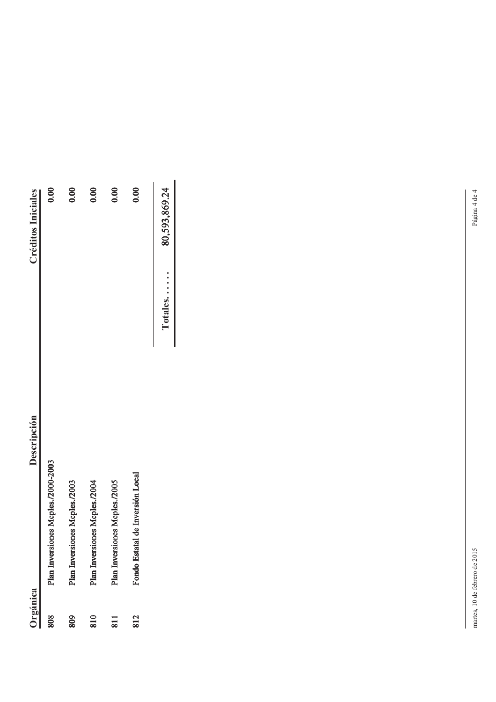| Orgánica                    | Descripción                        | <b>Créditos Iniciales</b> |      |
|-----------------------------|------------------------------------|---------------------------|------|
| 808                         | Plan Inversiones Mcples./2000-2003 |                           | 0.00 |
| 809                         | Plan Inversiones Mcples./2003      |                           | 0.00 |
| 810                         | Plan Inversiones Mcples./2004      |                           | 0.00 |
| $\overline{\phantom{0}311}$ | Plan Inversiones Mcples./2005      |                           | 0.00 |
| 812                         | Fondo Estatal de Inversión Local   |                           | 0.00 |
|                             |                                    | 80,593,869.24<br>Totales  |      |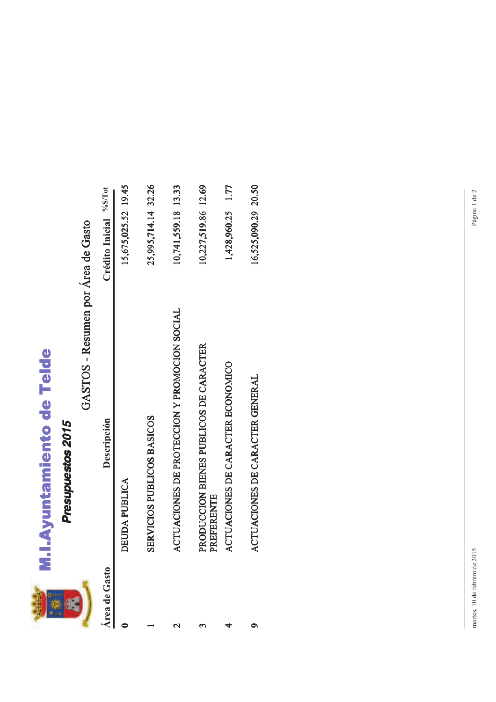

# M.I.Ayuntamiento de Telde

### GASTOS - Resumen por Área de Gasto

| <b>Area</b> de Gasto | Descripción                                          | Crédito Inicial %S/Tot |
|----------------------|------------------------------------------------------|------------------------|
|                      | DEUDA PUBLICA                                        | 15,675,025.52 19.45    |
|                      | SERVICIOS PUBLICOS BASICOS                           | 25,995,714.14 32.26    |
|                      | ACTUACIONES DE PROTECCION Y PROMOCION SOCIAL         | 10,741,559.18 13.33    |
|                      | PRODUCCION BIENES PUBLICOS DE CARACTER<br>PREFERENTE | 10,227,519.86 12.69    |
|                      | ACTUACIONES DE CARACTER ECONOMICO                    | 1,428,960.25 1.77      |
|                      | ACTUACIONES DE CARACTER GENERAL                      | 16,525,090.29 20.50    |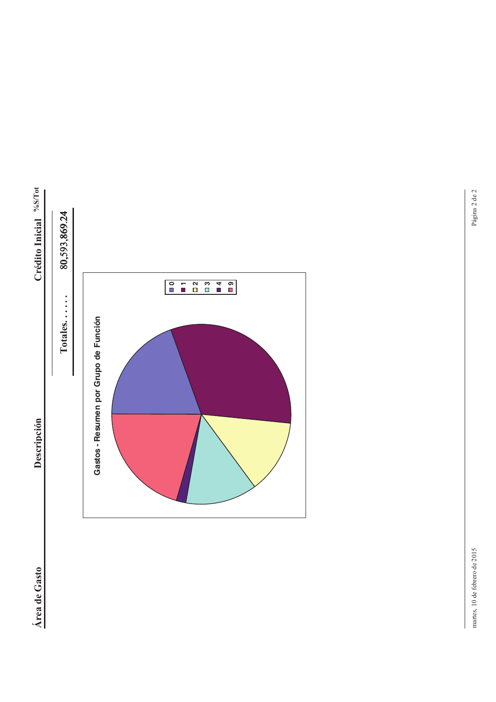



martes, 10 de febrero de 2015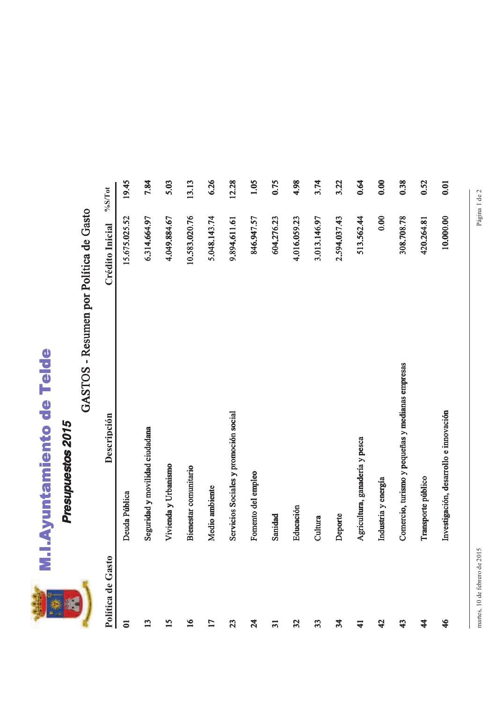

## M.I.Ayuntamiento de Telde

### Presupuestos 2015

### GASTOS - Resumen por Política de Gasto

| Política de Gasto      | Descripción                                      | Crédito Inicial | $\%$ S/Tot |
|------------------------|--------------------------------------------------|-----------------|------------|
| $\overline{a}$         | Deuda Pública                                    | 15,675,025.52   | 19.45      |
| 13                     | Seguridad y movilidad ciudadana                  | 6.314.664.97    | 7.84       |
| $\overline{15}$        | Vivienda y Urbanismo                             | 4,049,884.67    | 5.03       |
| $\overline{16}$        | Bienestar comunitario                            | 10.583.020.76   | 13.13      |
| 17                     | Medio ambiente                                   | 5.048.143.74    | 6.26       |
| 23                     | Servicios Sociales y promoción social            | 9.894.611.61    | 12.28      |
| 24                     | Fomento del empleo                               | 846.947.57      | 1.05       |
| $\overline{31}$        | Sanidad                                          | 604.276.23      | 0.75       |
| 32                     | Educación                                        | 4,016.059.23    | 4.98       |
| 33                     | Cultura                                          | 3.013.146.97    | 3.74       |
| $\frac{3}{4}$          | Deporte                                          | 2.594.037.43    | 3.22       |
| $\mathbf{1}$           | Agricultura, ganadería y pesca                   | 513.562.44      | 0.64       |
| $\boldsymbol{\varphi}$ | Industria y energía                              | 0.00            | 0.00       |
| $\boldsymbol{\hat{3}}$ | Comercio, turismo y pequeñas y medianas empresas | 308.708.78      | 0.38       |
| 4                      | Transporte público                               | 420.264.81      | 0.52       |
| 46                     | Investigación, desarrollo e innovación           | 10.000.00       | 0.01       |